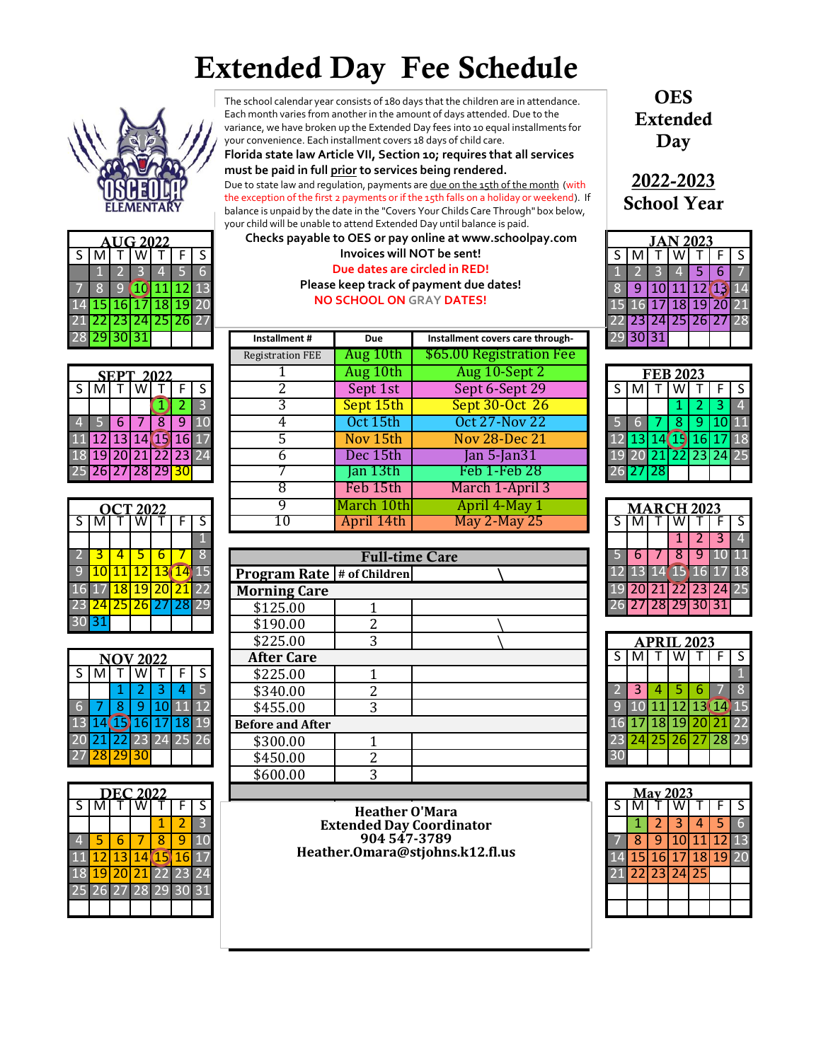## Extended Day Fee Schedule



|                |   | <b>AUG 2022</b>                   |  |   |
|----------------|---|-----------------------------------|--|---|
| $\overline{S}$ | M |                                   |  | ς |
|                |   |                                   |  |   |
|                |   | 10 11 12 13                       |  |   |
|                |   | 14 <mark>15</mark> 16 17 18 19 20 |  |   |
|                |   | 21 22 23 24 25 26 27              |  |   |
|                |   | 29   30   31                      |  |   |

|   |                 |    | CT 2022             |   |   |
|---|-----------------|----|---------------------|---|---|
| ऽ |                 |    |                     |   | ς |
|   |                 |    |                     |   |   |
|   | ٠               | Δ  | 5                   | հ |   |
|   |                 |    | 11 12 13 14 19      |   |   |
|   | $\overline{17}$ |    | 18 19 20 21 22      |   |   |
|   | $\overline{24}$ | 25 | <b>26 27 28 2</b> 9 |   |   |
|   |                 |    |                     |   |   |

|    |          | V 2022               |         |   |  |
|----|----------|----------------------|---------|---|--|
| Š. |          |                      |         | F |  |
|    | 1        | 2                    | 8       |   |  |
|    | 8        |                      | 9 10 11 |   |  |
|    |          | 13 14 15 16 17 18 19 |         |   |  |
|    |          | 21 22 23 24 25       |         |   |  |
|    | 28 29 30 |                      |         |   |  |

|  |   |       |  | <b>Heather O'Mara</b>                           |  |
|--|---|-------|--|-------------------------------------------------|--|
|  |   |       |  | <b>Extended Day Coordinator</b><br>904 547-3789 |  |
|  | h |       |  |                                                 |  |
|  |   | 14 15 |  | Heather.Omara@stjohns.k12.fl.us                 |  |
|  |   |       |  |                                                 |  |
|  |   |       |  |                                                 |  |
|  |   |       |  |                                                 |  |

The school calendar year consists of 180 days that the children are in attendance. Each month varies from another in the amount of days attended. Due to the variance, we have broken up the Extended Day fees into 10 equal installments for your convenience. Each installment covers 18 days of child care.

**Florida state law Article VII, Section 10; requires that all services must be paid in full prior to services being rendered.**  Due to state law and regulation, payments are due on the 15th of the month (with the exception of the first 2 payments or if the 15th falls on a holiday or weekend). If balance is unpaid by the date in the "Covers Your Childs Care Through" box below,

S | M | T | W | T | F | S | K | S | M | T | W | T | F | S | M | T | W | T | F | S | M | T | W | T | F | S | M | T 1 2 3 4 5 6 1 2 3 4 5 6 7 **Due dates are circled in RED!** 7 8 9 10 11 12 13 8 9 10 11 12 13 14 **Please keep track of payment due dates!** your child will be unable to attend Extended Day until balance is paid. **Checks payable to OES or pay online at www.schoolpay.com**

|     | 28 29 30 31              |                  |   |                |    |    | Installment#            | Due        | Installment covers care through- |  | 29 30 31 |          |                   |   |                      |              |
|-----|--------------------------|------------------|---|----------------|----|----|-------------------------|------------|----------------------------------|--|----------|----------|-------------------|---|----------------------|--------------|
|     |                          |                  |   |                |    |    | <b>Registration FEE</b> | Aug 10th   | \$65.00 Registration Fee         |  |          |          |                   |   |                      |              |
|     |                          | <b>SEPT 2022</b> |   |                |    |    |                         | Aug 10th   | Aug 10-Sept 2                    |  |          |          | <b>FEB 2023</b>   |   |                      |              |
| S I | M                        |                  | w |                | F. | S. |                         | Sept 1st   | Sept 6-Sept 29                   |  | M        |          | w                 |   | <b>FIS</b>           |              |
|     |                          |                  |   |                |    | 3  |                         | Sept 15th  | Sept 30-Oct 26                   |  |          |          |                   |   |                      | $\mathbf{A}$ |
|     |                          | 6                |   | 8              | 9  | 10 |                         | Oct 15th   | <b>Oct 27-Nov 22</b>             |  |          |          | 8                 | 9 |                      | .OI 11       |
|     | 11 12 1                  | 13 <sup>1</sup>  |   | 14 15 16 17    |    |    |                         | Nov 15th   | <b>Nov 28-Dec 21</b>             |  |          | 12 13 14 |                   |   | 19 16 17 18          |              |
|     | 18 19 I                  |                  |   | 20 21 22 23 24 |    |    | h                       | Dec 15th   | Jan $5$ -Jan $31$                |  |          |          |                   |   | 19 20 21 22 23 24 25 |              |
|     | 25 <b>26 27 28 29 30</b> |                  |   |                |    |    |                         | Jan 13th   | Feb 1-Feb 28                     |  | 26 27 28 |          |                   |   |                      |              |
|     |                          |                  |   |                |    |    |                         | Feb 15th   | March 1-April 3                  |  |          |          |                   |   |                      |              |
|     |                          | OCT 2022         |   |                |    |    | q                       | March 10th | April 4-May 1                    |  |          |          | <b>MARCH 2023</b> |   |                      |              |
|     | S I M                    |                  | w |                |    | S. | 10                      | April 14th | <b>May 2-May 25</b>              |  | M        |          |                   |   |                      | l S          |
|     |                          |                  |   |                |    |    |                         |            |                                  |  |          |          |                   |   |                      |              |

|                 |                          |                 |                 |                 |     |                |                                     | <b>Full-time Care</b> |     | b                    |                   | 8  | 9               |         | 0 11                    |
|-----------------|--------------------------|-----------------|-----------------|-----------------|-----|----------------|-------------------------------------|-----------------------|-----|----------------------|-------------------|----|-----------------|---------|-------------------------|
| 9               |                          |                 | $\overline{12}$ | 13 <sub>1</sub> |     | $14$ 15        | <b>Program Rate  # of Children </b> |                       |     | 12 13 14 15 16       |                   |    |                 |         | l <b>7 18</b>           |
|                 | 16 17                    |                 |                 |                 |     | 18 19 20 21 22 | <b>Morning Care</b>                 |                       | 19  |                      | 20 21 22 23 24 25 |    |                 |         |                         |
|                 | 23 <mark>24</mark>       |                 | 25 26 27        |                 |     | 28 29          | \$125.00                            |                       |     | 26 27 28 29 30 31    |                   |    |                 |         |                         |
|                 | 30 31                    |                 |                 |                 |     |                | \$190.00                            |                       |     |                      |                   |    |                 |         |                         |
|                 |                          |                 |                 |                 |     |                | \$225.00                            | 3                     |     |                      | <b>APRIL 2023</b> |    |                 |         |                         |
|                 |                          | <b>NOV 2022</b> |                 |                 |     |                | <b>After Care</b>                   |                       | S I | M                    |                   | W  |                 |         | $\overline{\mathsf{S}}$ |
| S               | M                        |                 | w               |                 | F.  | S.             | \$225.00                            |                       |     |                      |                   |    |                 |         |                         |
|                 |                          |                 |                 | 3               | 4   |                | \$340.00                            | າ                     |     | 3                    |                   | 5. | 6               |         | 8                       |
| 6               |                          | 8               | -9              |                 |     | 12             | \$455.00                            | 3                     |     |                      |                   | 12 | 13 14 15        |         |                         |
| 13 <sub>1</sub> | 14                       | 15.             | L6'             |                 | 18I | 19             | <b>Before and After</b>             |                       | 16  | 17                   | 'l 181            | 19 | 20 <sub>1</sub> | $21$ 22 |                         |
|                 |                          |                 |                 |                 | 25  | 26             | \$300.00                            |                       |     | 23 24 25 26 27 28 29 |                   |    |                 |         |                         |
|                 | 27 <mark>28</mark> 29 30 |                 |                 |                 |     |                | \$450.00                            | າ                     | 30  |                      |                   |    |                 |         |                         |
|                 |                          |                 |                 |                 |     |                | \$600.00                            | 3                     |     |                      |                   |    |                 |         |                         |
|                 |                          |                 |                 |                 |     |                |                                     |                       |     |                      |                   |    |                 |         |                         |

**OES** Extended Day

2022-2023 School Year

|  | AUG 2022 |   |  |                                   |               |                                 | Checks payable to OES or pay online at www.schoolpay.com |  | <b>JAN 2023</b> |  |  |                    |  |    |
|--|----------|---|--|-----------------------------------|---------------|---------------------------------|----------------------------------------------------------|--|-----------------|--|--|--------------------|--|----|
|  |          | w |  |                                   |               | Invoices will NOT be sent!      |                                                          |  |                 |  |  |                    |  |    |
|  |          |   |  |                                   |               |                                 | Due dates are circled in RED!                            |  |                 |  |  |                    |  |    |
|  |          |   |  |                                   |               |                                 | Please keep track of payment due dates!                  |  |                 |  |  |                    |  | 14 |
|  |          |   |  | 14 <mark>15 16 17 18 19</mark> 20 |               | <b>NO SCHOOL ON GRAY DATES!</b> |                                                          |  |                 |  |  | 16 17 18 19 20 21  |  |    |
|  |          |   |  | 21 22 23 24 25 26 27              |               |                                 |                                                          |  |                 |  |  | 123124125126127128 |  |    |
|  |          |   |  |                                   | Installment # | Due                             | Installment covers care through-                         |  |                 |  |  |                    |  |    |

|    | <b>FEB 2023</b> |   |                             |    |   |  |  |  |  |  |  |  |
|----|-----------------|---|-----------------------------|----|---|--|--|--|--|--|--|--|
| S. |                 |   |                             |    | S |  |  |  |  |  |  |  |
|    |                 |   | 2                           | 3  |   |  |  |  |  |  |  |  |
|    |                 | 8 | 9.                          | 10 |   |  |  |  |  |  |  |  |
|    |                 |   | 13 14 15 16 17              |    |   |  |  |  |  |  |  |  |
|    |                 |   | 20 <mark>21</mark> 22 23 24 |    |   |  |  |  |  |  |  |  |
|    | 27 28           |   |                             |    |   |  |  |  |  |  |  |  |

|                |                                   | March 10th            | April 4-May 1       |  |  |  | <b>MARCH 2023</b> |                      |    |
|----------------|-----------------------------------|-----------------------|---------------------|--|--|--|-------------------|----------------------|----|
| ς              |                                   | nril 14th.            | <b>May 2-May 25</b> |  |  |  |                   |                      |    |
|                |                                   |                       |                     |  |  |  |                   |                      |    |
| 8              |                                   | <b>Full-time Care</b> |                     |  |  |  |                   |                      | 11 |
| <u>15</u>      | <b>Program Rate # of Children</b> |                       |                     |  |  |  |                   | 12 13 14 15 16 17 18 |    |
| $\overline{2}$ | <b>Morning Care</b>               |                       |                     |  |  |  |                   | 19 20 21 22 23 24 25 |    |
| 29             | \$125.00                          |                       |                     |  |  |  | 28 29 30 31       |                      |    |
|                |                                   |                       |                     |  |  |  |                   |                      |    |

|    | PRIL 2023 |  |  |                   |   |                         |  |  |  |  |
|----|-----------|--|--|-------------------|---|-------------------------|--|--|--|--|
| S. |           |  |  |                   | F | $\overline{\mathsf{S}}$ |  |  |  |  |
|    |           |  |  |                   |   |                         |  |  |  |  |
|    |           |  |  |                   |   |                         |  |  |  |  |
|    |           |  |  | 10 11 12 13 14    |   |                         |  |  |  |  |
|    |           |  |  | 17 18 19 20 21    |   | 22                      |  |  |  |  |
|    |           |  |  | 24 25 26 27 28 29 |   |                         |  |  |  |  |
|    |           |  |  |                   |   |                         |  |  |  |  |

|                             |                                      |  |    | wuu uu<br>ັ                     |  |                 |              |                |
|-----------------------------|--------------------------------------|--|----|---------------------------------|--|-----------------|--------------|----------------|
|                             | <b>DEC 2022</b>                      |  |    |                                 |  | <b>May 2023</b> |              |                |
|                             |                                      |  |    | <b>Heather O'Mara</b>           |  |                 |              |                |
|                             |                                      |  | O. | <b>Extended Day Coordinator</b> |  |                 |              |                |
| 4.                          |                                      |  |    | 904 547-3789                    |  |                 |              | 1 <sub>3</sub> |
|                             | <mark>l2  13  14  15  16</mark>   17 |  |    | Heather.Omara@stjohns.k12.fl.us |  |                 | <b>19</b> 20 |                |
| 18 <mark>19</mark> 20 21 22 |                                      |  |    |                                 |  |                 |              |                |
| 251                         |                                      |  |    |                                 |  |                 |              |                |
|                             |                                      |  |    |                                 |  |                 |              |                |